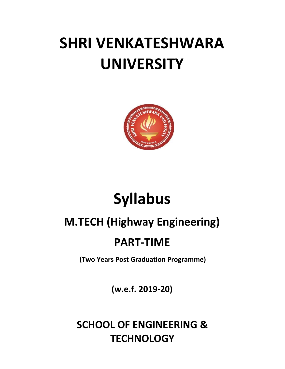# **SHRI VENKATESHWARA UNIVERSITY**



# **Syllabus**

## **M.TECH (Highway Engineering)**

### **PART-TIME**

**(Two Years Post Graduation Programme)**

**(w.e.f. 2019-20)**

**SCHOOL OF ENGINEERING & TECHNOLOGY**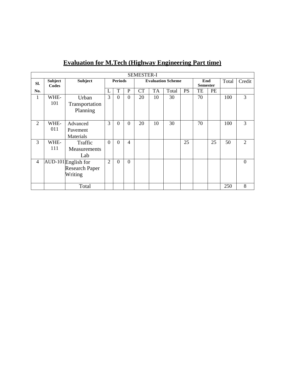|                |                  |                       |                |                |                | <b>SEMESTER-I</b>        |           |       |           |                        |    |       |                |
|----------------|------------------|-----------------------|----------------|----------------|----------------|--------------------------|-----------|-------|-----------|------------------------|----|-------|----------------|
| SI.            | Subject<br>Codes | <b>Subject</b>        | <b>Periods</b> |                |                | <b>Evaluation Scheme</b> |           |       |           | End<br><b>Semester</b> |    | Total | Credit         |
| No.            |                  |                       | L              | T              | $\mathbf{P}$   | <b>CT</b>                | <b>TA</b> | Total | <b>PS</b> | TE                     | PE |       |                |
| 1              | WHE-             | Urban                 | 3              | $\overline{0}$ | $\Omega$       | 20                       | 10        | 30    |           | 70                     |    | 100   | 3              |
|                | 101              | Transportation        |                |                |                |                          |           |       |           |                        |    |       |                |
|                |                  | Planning              |                |                |                |                          |           |       |           |                        |    |       |                |
|                |                  |                       |                |                |                |                          |           |       |           |                        |    |       |                |
| $\overline{2}$ | WHE-             | Advanced              | 3              | $\overline{0}$ | $\Omega$       | 20                       | 10        | 30    |           | 70                     |    | 100   | 3              |
|                | 011              | Pavement              |                |                |                |                          |           |       |           |                        |    |       |                |
|                |                  | Materials             |                |                |                |                          |           |       |           |                        |    |       |                |
| 3              | WHE-             | Traffic               | $\overline{0}$ | $\Omega$       | $\overline{4}$ |                          |           |       | 25        |                        | 25 | 50    | $\overline{2}$ |
|                | 111              | <b>Measurements</b>   |                |                |                |                          |           |       |           |                        |    |       |                |
|                |                  | Lab                   |                |                |                |                          |           |       |           |                        |    |       |                |
| 4              |                  | AUD-101 English for   | $\overline{2}$ | $\Omega$       | $\Omega$       |                          |           |       |           |                        |    |       | $\overline{0}$ |
|                |                  | <b>Research Paper</b> |                |                |                |                          |           |       |           |                        |    |       |                |
|                |                  | Writing               |                |                |                |                          |           |       |           |                        |    |       |                |
|                |                  |                       |                |                |                |                          |           |       |           |                        |    |       |                |
|                |                  | Total                 |                |                |                |                          |           |       |           |                        |    | 250   | 8              |

### **Evaluation for M.Tech (Highway Engineering Part time)**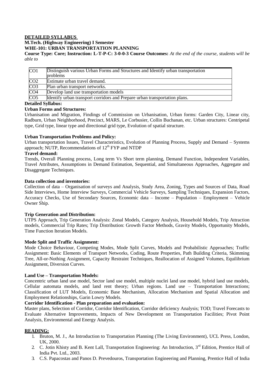#### **DETAILED SYLLABUS**

#### **M.Tech. (Highway Engineering) I Semester**

#### **WHE-101: URBAN TRANSPORTATION PLANNING**

**Course Type: Core; Instruction: L-T-P-C: 3-0-0-3 Course Outcomes:** *At the end of the course, students will be able to*

| CO <sub>1</sub> | Distinguish various Urban Forms and Structures and Identify urban transportation<br>problems |
|-----------------|----------------------------------------------------------------------------------------------|
| CO <sub>2</sub> | Estimate urban travel demand.                                                                |
| CO <sub>3</sub> | Plan urban transport networks.                                                               |
| CO <sub>4</sub> | Develop land use transportation models                                                       |
| CO <sub>5</sub> | Identify urban transport corridors and Prepare urban transportation plans.                   |

#### **Detailed Syllabus:**

#### **Urban Forms and Structures:**

Urbanisation and Migration, Findings of Commission on Urbanisation, Urban forms: Garden City, Linear city, Radburn, Urban Neighborhood, Precinct, MARS, Le Corbusier, Collin Buchanan, etc. Urban structures: Centripetal type, Grid type, linear type and directional grid type, Evolution of spatial structure.

#### **Urban Transportation Problems and Policy:**

Urban transportation Issues, Travel Characteristics, Evolution of Planning Process, Supply and Demand – Systems approach; NUTP, Recommendations of  $12<sup>th</sup> FYP$  and NTDP

#### **Travel demand:**

Trends, Overall Planning process, Long term Vs Short term planning, Demand Function, Independent Variables, Travel Attributes, Assumptions in Demand Estimation, Sequential, and Simultaneous Approaches, Aggregate and Disaggregate Techniques.

#### **Data collection and inventories:**

Collection of data – Organisation of surveys and Analysis, Study Area, Zoning, Types and Sources of Data, Road Side Interviews, Home Interview Surveys, Commercial Vehicle Surveys, Sampling Techniques, Expansion Factors, Accuracy Checks, Use of Secondary Sources, Economic data – Income – Population – Employment – Vehicle Owner Ship.

#### **Trip Generation and Distribution:**

UTPS Approach, Trip Generation Analysis: Zonal Models, Category Analysis, Household Models, Trip Attraction models, Commercial Trip Rates; Trip Distribution: Growth Factor Methods, Gravity Models, Opportunity Models, Time Function Iteration Models.

#### **Mode Split and Traffic Assignment:**

Mode Choice Behaviour, Competing Modes, Mode Split Curves, Models and Probabilistic Approaches; Traffic Assignment: Basic Elements of Transport Networks, Coding, Route Properties, Path Building Criteria, Skimming Tree, All-or-Nothing Assignment, Capacity Restraint Techniques, Reallocation of Assigned Volumes, Equilibrium Assignment, Diversion Curves.

#### **Land Use – Transportation Models:**

Concentric urban land use model, Sector land use model, multiple nuclei land use model, hybrid land use models, Cellular automata models, and land rent theory; Urban regions. Land use – Transportation Interactions; Classification of LUT Models, Economic Base Mechanism, Allocation Mechanism and Spatial Allocation and Employment Relationships, Garin Lowry Models.

#### **Corridor Identification - Plan preparation and evaluation:**

Master plans, Selection of Corridor, Corridor Identification, Corridor deficiency Analysis; TOD; Travel Forecasts to Evaluate Alternative Improvements, Impacts of New Development on Transportation Facilities; Pivot Point Analysis, Environmental and Energy Analysis.

#### **READING:**

- 1. Bruton, M. J., An Introduction to Transportation Planning (The Living Environment), UCL Press, London, UK, 2000.
- 2. C. Jotin Khisty and B. Kent Lall, Transportation Engineering: An Introduction, 3<sup>rd</sup> Edition, Prentice Hall of India Pvt. Ltd., 2003.
- 3. C.S. Papacostas and Panos D. Prevedouros, Transportation Engineering and Planning, Prentice Hall of India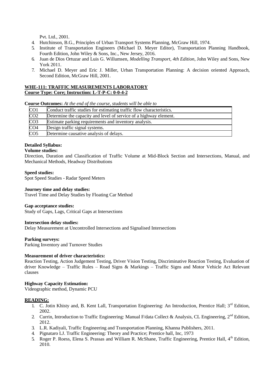Pvt. Ltd., 2001.

- 4. Hutchinson, B.G., Principles of Urban Transport Systems Planning, McGraw Hill, 1974.
- 5. Institute of Transportation Engineers (Michael D. Meyer Editor), Transportation Planning Handbook, Fourth Edition, John Wiley & Sons, Inc., New Jersey, 2016.
- 6. Juan de Dios Ortuzar and Luis G. Willumsen, *Modelling Transport, 4th Edition*, John Wiley and Sons, New York 2011.
- 7. Michael D. Meyer and Eric J. Miller, Urban Transportation Planning: A decision oriented Approach, Second Edition, McGraw Hill, 2001.

#### **WHE-111: TRAFFIC MEASUREMENTS LABORATORY Course Type: Core; Instruction: L-T-P-C: 0-0-4-2**

**Course Outcomes:** *At the end of the course, students will be able to*

| CO1             | Conduct traffic studies for estimating traffic flow characteristics. |
|-----------------|----------------------------------------------------------------------|
| CO <sub>2</sub> | Determine the capacity and level of service of a highway element.    |
| CO <sub>3</sub> | Estimate parking requirements and inventory analysis.                |
| CO <sub>4</sub> | Design traffic signal systems.                                       |
| CO <sub>5</sub> | Determine causative analysis of delays.                              |

#### **Detailed Syllabus:**

#### **Volume studies:**

Direction, Duration and Classification of Traffic Volume at Mid-Block Section and Intersections, Manual, and Mechanical Methods, Headway Distributions

#### **Speed studies:**

Spot Speed Studies - Radar Speed Meters

#### **Journey time and delay studies:**

Travel Time and Delay Studies by Floating Car Method

#### **Gap acceptance studies:**

Study of Gaps, Lags, Critical Gaps at Intersections

#### **Intersection delay studies:**

Delay Measurement at Uncontrolled Intersections and Signalised Intersections

#### **Parking surveys:**

Parking Inventory and Turnover Studies

#### **Measurement of driver characteristics:**

Reaction Testing, Action Judgement Testing, Driver Vision Testing, Discriminative Reaction Testing, Evaluation of driver Knowledge – Traffic Rules – Road Signs & Markings – Traffic Signs and Motor Vehicle Act Relevant clauses

#### **Highway Capacity Estimation:**

Videographic method, Dynamic PCU

#### **READING:**

- 1. C. Jotin Khisty and, B. Kent Lall, Transportation Engineering: An Introduction, Prentice Hall; 3<sup>rd</sup> Edition, 2002.
- 2. Currin, Introduction to Traffic Engineering: Manual F/data Collect & Analysis, CL Engineering, 2<sup>nd</sup> Edition, 2012.
- 3. L.R. Kadiyali, Traffic Engineering and Transportation Planning, Khanna Publishers, 2011.
- 4. Pignataro LJ. Traffic Engineering: Theory and Practice; Prentice hall, Inc, 1973
- 5. Roger P. Roess, Elena S. Prassas and William R. McShane, Traffic Engineering, Prentice Hall, 4<sup>th</sup> Edition, 2010.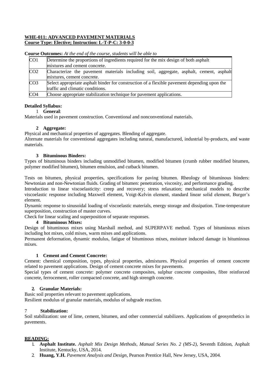#### **WHE-011: ADVANCED PAVEMENT MATERIALS Course Type: Elective; Instruction: L-T-P-C: 3-0-0-3**

**Course Outcomes:** *At the end of the course, students will be able to*

| CO <sub>1</sub> | Determine the proportions of ingredients required for the mix design of both asphalt                                             |  |  |  |
|-----------------|----------------------------------------------------------------------------------------------------------------------------------|--|--|--|
|                 | mixtures and cement concrete.                                                                                                    |  |  |  |
| CO <sub>2</sub> | Characterize the pavement materials including soil, aggregate, asphalt, cement, asphalt<br>mixtures, cement concrete.            |  |  |  |
| CO <sub>3</sub> | Select appropriate asphalt binder for construction of a flexible pavement depending upon the<br>traffic and climatic conditions. |  |  |  |
| CO <sub>4</sub> | Choose appropriate stabilization technique for pavement applications.                                                            |  |  |  |

#### **Detailed Syllabus:**

#### 1 **General**:

Materials used in pavement construction. Conventional and nonconventional materials.

#### **2 Aggregate:**

Physical and mechanical properties of aggregates. Blending of aggregate.

Alternate materials for conventional aggregates including natural, manufactured, industrial by-products, and waste materials.

#### **3 Bituminous Binders:**

Types of bituminous binders including unmodified bitumen, modified bitumen (crumb rubber modified bitumen, polymer modified bitumen), bitumen emulsion, and cutback bitumen.

Tests on bitumen, physical properties, specifications for paving bitumen. Rheology of bituminous binders: Newtonian and non-Newtonian fluids. Grading of bitumen: penetration, viscosity, and performance grading.

Introduction to linear viscoelasticity: creep and recovery; stress relaxation; mechanical models to describe viscoelastic response including Maxwell element, Voigt-Kelvin element, standard linear solid element, Burger's element.

Dynamic response to sinusoidal loading of viscoelastic materials, energy storage and dissipation. Time-temperature superposition, construction of master curves.

Check for linear scaling and superposition of separate responses.

#### **4 Bituminous Mixes:**

Design of bituminous mixes using Marshall method, and SUPERPAVE method. Types of bituminous mixes including hot mixes, cold mixes, warm mixes and applications.

Permanent deformation, dynamic modulus, fatigue of bituminous mixes, moisture induced damage in bituminous mixes.

#### **1 Cement and Cement Concrete:**

Cement: chemical composition, types, physical properties, admixtures. Physical properties of cement concrete related to pavement applications. Design of cement concrete mixes for pavements.

Special types of cement concrete: polymer concrete composites, sulphur concrete composites, fibre reinforced concrete, ferrocement, roller compacted concrete, and high strength concrete.

#### **2. Granular Materials:**

Basic soil properties relevant to pavement applications. Resilient modulus of granular materials, modulus of subgrade reaction.

#### 7 **Stabilization:**

Soil stabilization: use of lime, cement, bitumen, and other commercial stabilizers. Applications of geosynthetics in pavements.

#### **READING:**

- 1. **Asphalt Institute.** *Asphalt Mix Design Methods*, *Manual Series No. 2 (MS-2)*, Seventh Edition, Asphalt Institute, Kentucky, USA, 2014.
- 2. **Huang, Y.H.** *Pavement Analysis and Design*, Pearson Prentice Hall, New Jersey, USA, 2004.